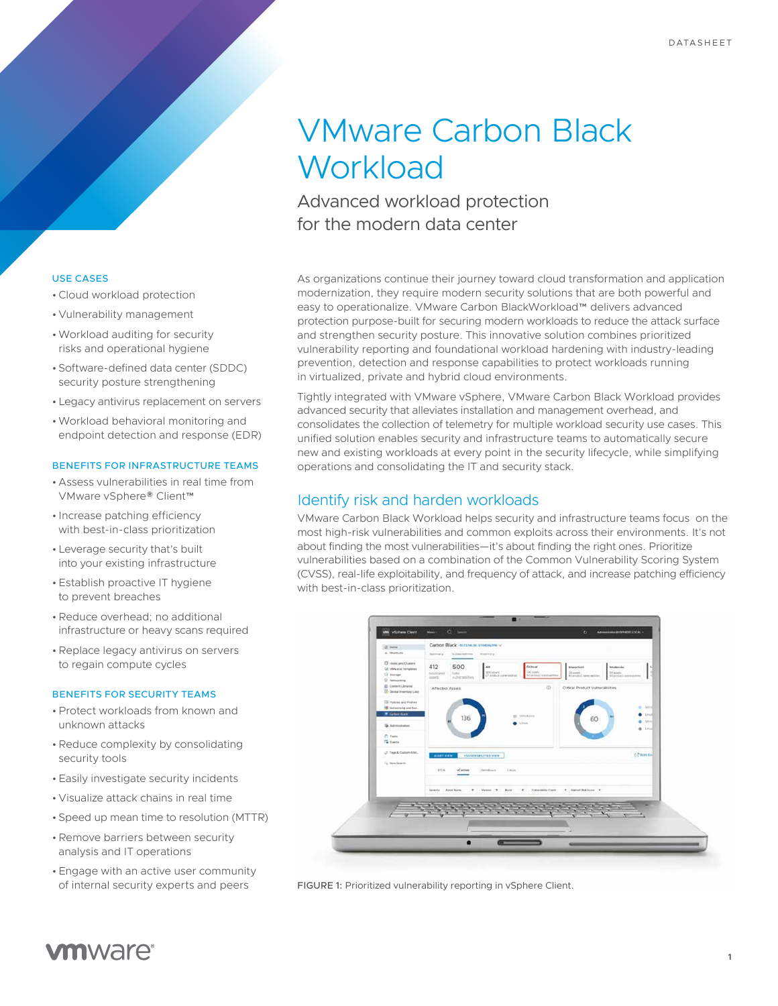# VMware Carbon Black **Workload**

Advanced workload protection for the modern data center

As organizations continue their journey toward cloud transformation and application modernization, they require modern security solutions that are both powerful and easy to operationalize. VMware Carbon BlackWorkload™ delivers advanced protection purpose-built for securing modern workloads to reduce the attack surface and strengthen security posture. This innovative solution combines prioritized vulnerability reporting and foundational workload hardening with industry-leading prevention, detection and response capabilities to protect workloads running in virtualized, private and hybrid cloud environments.

Tightly integrated with VMware vSphere, VMware Carbon Black Workload provides advanced security that alleviates installation and management overhead, and consolidates the collection of telemetry for multiple workload security use cases. This unified solution enables security and infrastructure teams to automatically secure new and existing workloads at every point in the security lifecycle, while simplifying operations and consolidating the IT and security stack.

## Identify risk and harden workloads

VMware Carbon Black Workload helps security and infrastructure teams focus on the most high-risk vulnerabilities and common exploits across their environments. It's not about finding the most vulnerabilities—it's about finding the right ones. Prioritize vulnerabilities based on a combination of the Common Vulnerability Scoring System (CVSS), real-life exploitability, and frequency of attack, and increase patching efficiency with best-in-class prioritization.



FIGURE 1: Prioritized vulnerability reporting in vSphere Client.

#### USE CASES

- •Cloud workload protection
- Vulnerability management
- •Workload auditing for security risks and operational hygiene
- Software-defined data center (SDDC) security posture strengthening
- Legacy antivirus replacement on servers
- •Workload behavioral monitoring and endpoint detection and response (EDR)

#### BENEFITS FOR INFRASTRUCTURE TEAMS

- Assess vulnerabilities in real time from VMware vSphere® Client™
- Increase patching efficiency with best-in-class prioritization
- Leverage security that's built into your existing infrastructure
- Establish proactive IT hygiene to prevent breaches
- •Reduce overhead; no additional infrastructure or heavy scans required
- •Replace legacy antivirus on servers to regain compute cycles

#### BENEFITS FOR SECURITY TEAMS

- •Protect workloads from known and unknown attacks
- •Reduce complexity by consolidating security tools
- Easily investigate security incidents
- Visualize attack chains in real time
- Speed up mean time to resolution (MTTR)
- •Remove barriers between security analysis and IT operations
- Engage with an active user community of internal security experts and peers

# **vm**ware<sup>®</sup>